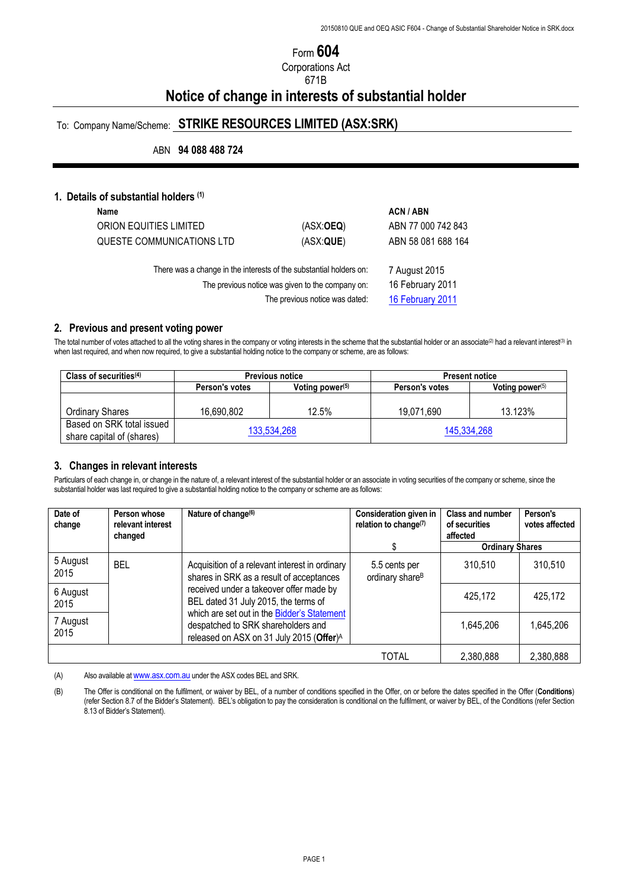# Form **604**

Corporations Act

## 671B

# **Notice of change in interests of substantial holder**

# To: Company Name/Scheme: **STRIKE RESOURCES LIMITED (ASX:SRK)**

ABN **94 088 488 724**

## **1. Details of substantial holders (1)**

| Name                                                                                                                   |                                   | <b>ACN/ABN</b>     |
|------------------------------------------------------------------------------------------------------------------------|-----------------------------------|--------------------|
| ORION EQUITIES LIMITED                                                                                                 | (ASK:OEQ)                         | ABN 77 000 742 843 |
| QUESTE COMMUNICATIONS LTD                                                                                              | (ASK:QUE)                         | ABN 58 081 688 164 |
| There was a change in the interests of the substantial holders on:<br>The previous notice was given to the company on: | 7 August 2015<br>16 February 2011 |                    |
|                                                                                                                        | The previous notice was dated:    | 16 February 2011   |

#### **2. Previous and present voting power**

The total number of votes attached to all the voting shares in the company or voting interests in the scheme that the substantial holder or an associate<sup>(2)</sup> had a relevant interest<sup>(3)</sup> in when last required, and when now required, to give a substantial holding notice to the company or scheme, are as follows:

| Class of securities $(4)$                              | <b>Previous notice</b> |                             | <b>Present notice</b> |                    |
|--------------------------------------------------------|------------------------|-----------------------------|-----------------------|--------------------|
|                                                        | Person's votes         | Voting power <sup>(5)</sup> | Person's votes        | Voting power $(5)$ |
|                                                        |                        |                             |                       |                    |
| <b>Ordinary Shares</b>                                 | 16.690.802             | 12.5%                       | 19.071.690            | 13.123%            |
| Based on SRK total issued<br>share capital of (shares) | 133,534,268            |                             | 145,334,268           |                    |

#### **3. Changes in relevant interests**

Particulars of each change in, or change in the nature of, a relevant interest of the substantial holder or an associate in voting securities of the company or scheme, since the substantial holder was last required to give a substantial holding notice to the company or scheme are as follows:

| Date of<br>change                                                                                                                                             | Person whose<br>relevant interest<br>changed | Nature of change <sup>(6)</sup>                                                            | <b>Consideration given in</b><br>relation to change <sup>(7)</sup> | <b>Class and number</b><br>of securities<br>affected | Person's<br>votes affected |
|---------------------------------------------------------------------------------------------------------------------------------------------------------------|----------------------------------------------|--------------------------------------------------------------------------------------------|--------------------------------------------------------------------|------------------------------------------------------|----------------------------|
|                                                                                                                                                               |                                              |                                                                                            |                                                                    | <b>Ordinary Shares</b>                               |                            |
| 5 August<br>2015                                                                                                                                              | <b>BEL</b>                                   | Acquisition of a relevant interest in ordinary<br>shares in SRK as a result of acceptances | 5.5 cents per<br>ordinary share <sup>B</sup>                       | 310,510                                              | 310,510                    |
| 6 August<br>2015                                                                                                                                              |                                              | received under a takeover offer made by<br>BEL dated 31 July 2015, the terms of            |                                                                    | 425,172                                              | 425,172                    |
| which are set out in the Bidder's Statement<br>7 August<br>despatched to SRK shareholders and<br>2015<br>released on ASX on 31 July 2015 (Offer) <sup>A</sup> |                                              | 1,645,206                                                                                  | 1,645,206                                                          |                                                      |                            |
|                                                                                                                                                               |                                              |                                                                                            | <b>TOTAL</b>                                                       | 2,380,888                                            | 2,380,888                  |

(A) Also available at www.asx.com.au under the ASX codes BEL and SRK.

(B) The Offer is conditional on the fulfilment, or waiver by BEL, of a number of conditions specified in the Offer, on or before the dates specified in the Offer (**Conditions**) (refer Section 8.7 of the Bidder's Statement). BEL's obligation to pay the consideration is conditional on the fulfilment, or waiver by BEL, of the Conditions (refer Section 8.13 of Bidder's Statement).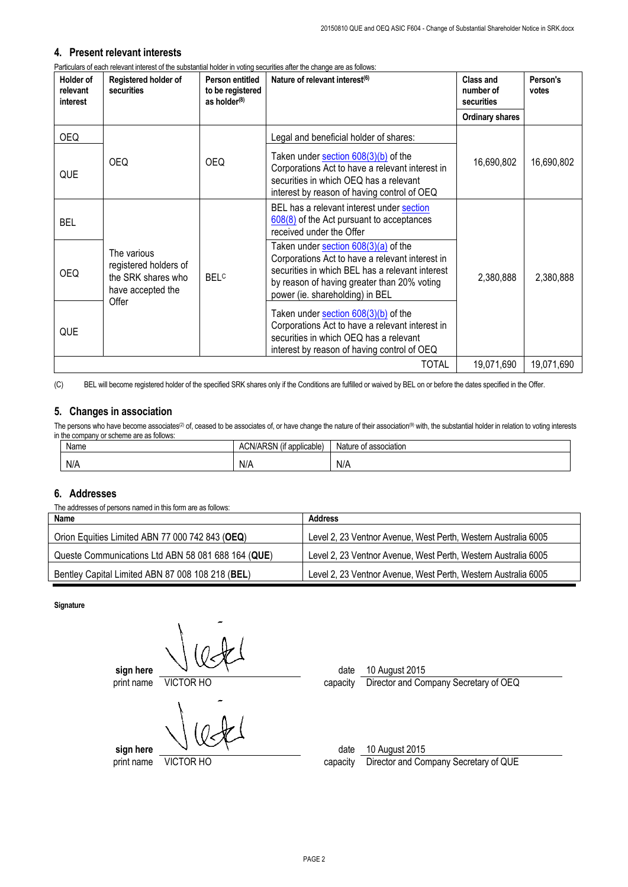### **4. Present relevant interests**

Particulars of each relevant interest of the substantial holder in voting securities after the change are as follows:

| Holder of<br>relevant<br>interest | Registered holder of<br>securities                                                       | Person entitled<br>to be registered<br>as holder $(8)$ | Nature of relevant interest <sup>(6)</sup>                                                                                                                                                                                   | Class and<br>number of<br>securities | Person's<br>votes |
|-----------------------------------|------------------------------------------------------------------------------------------|--------------------------------------------------------|------------------------------------------------------------------------------------------------------------------------------------------------------------------------------------------------------------------------------|--------------------------------------|-------------------|
|                                   |                                                                                          |                                                        |                                                                                                                                                                                                                              | <b>Ordinary shares</b>               |                   |
| <b>OEQ</b>                        |                                                                                          |                                                        | Legal and beneficial holder of shares:                                                                                                                                                                                       |                                      |                   |
| QUE                               | <b>OEQ</b>                                                                               | <b>OEQ</b>                                             | Taken under section $608(3)(b)$ of the<br>Corporations Act to have a relevant interest in<br>securities in which OEQ has a relevant<br>interest by reason of having control of OEQ                                           | 16,690,802                           | 16,690,802        |
| <b>BEL</b>                        |                                                                                          |                                                        | BEL has a relevant interest under section<br>608(8) of the Act pursuant to acceptances<br>received under the Offer                                                                                                           |                                      |                   |
| <b>OEQ</b>                        | The various<br>registered holders of<br>the SRK shares who<br>have accepted the<br>Offer | <b>BELC</b>                                            | Taken under section 608(3)(a) of the<br>Corporations Act to have a relevant interest in<br>securities in which BEL has a relevant interest<br>by reason of having greater than 20% voting<br>power (ie. shareholding) in BEL | 2,380,888                            | 2,380,888         |
| QUE                               |                                                                                          |                                                        | Taken under section $608(3)(b)$ of the<br>Corporations Act to have a relevant interest in<br>securities in which OEQ has a relevant<br>interest by reason of having control of OEQ                                           |                                      |                   |
|                                   |                                                                                          |                                                        | <b>TOTAL</b>                                                                                                                                                                                                                 | 19,071,690                           | 19,071,690        |

(C) BEL will become registered holder of the specified SRK shares only if the Conditions are fulfilled or waived by BEL on or before the dates specified in the Offer.

## **5. Changes in association**

The persons who have become associates<sup>(2)</sup> of, ceased to be associates of, or have change the nature of their association<sup>(9)</sup> with, the substantial holder in relation to voting interests in the company or scheme are as follows:

| Name | $\cdots$<br>ARSN<br>ACN/AP <sup>-</sup><br>(if applicable) | Nature of association |
|------|------------------------------------------------------------|-----------------------|
| N/A  | N/A                                                        | N/A                   |

## **6. Addresses**

The addresses of persons named in this form are as follows:

| Name                                               | Address                                                        |
|----------------------------------------------------|----------------------------------------------------------------|
| Orion Equities Limited ABN 77 000 742 843 (OEQ)    | Level 2, 23 Ventnor Avenue, West Perth, Western Australia 6005 |
| Queste Communications Ltd ABN 58 081 688 164 (QUE) | Level 2, 23 Ventnor Avenue, West Perth, Western Australia 6005 |
| Bentley Capital Limited ABN 87 008 108 218 (BEL)   | Level 2, 23 Ventnor Avenue, West Perth, Western Australia 6005 |

**Signature**

**sign here**  $\sqrt{ }$ print name VICTOR HO capacity Director and Company Secretary of OEQ

**sign here**  $\sqrt{2}$ 

print name VICTOR HO capacity Director and Company Secretary of QUE